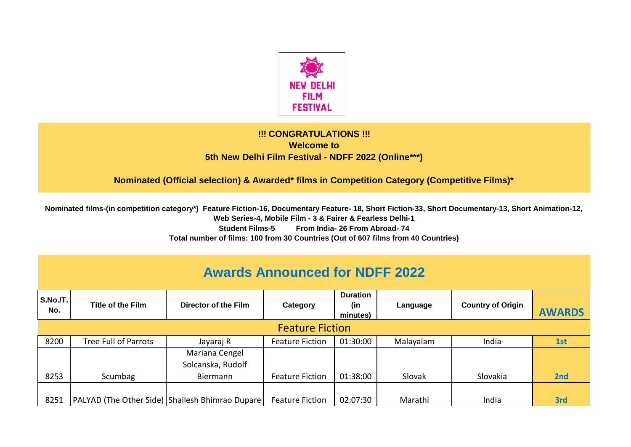

## **!!! CONGRATULATIONS !!! Welcome to 5th New Delhi Film Festival - NDFF 2022 (Online\*\*\*)**

**Nominated (Official selection) & Awarded\* films in Competition Category (Competitive Films)\*** 

**Nominated films-(in competition category\*) Feature Fiction-16, Documentary Feature- 18, Short Fiction-33, Short Documentary-13, Short Animation-12, Web Series-4, Mobile Film - 3 & Fairer & Fearless Delhi-1 Student Films-5 From India- 26 From Abroad- 74 Total number of films: 100 from 30 Countries (Out of 607 films from 40 Countries)**

| <b>Awards Announced for NDFF 2022</b> |                      |                                                 |                        |                                    |           |                          |               |  |  |  |  |  |
|---------------------------------------|----------------------|-------------------------------------------------|------------------------|------------------------------------|-----------|--------------------------|---------------|--|--|--|--|--|
| S.No./T.<br>No.                       | Title of the Film    | Director of the Film                            | Category               | <b>Duration</b><br>(in<br>minutes) | Language  | <b>Country of Origin</b> | <b>AWARDS</b> |  |  |  |  |  |
| <b>Feature Fiction</b>                |                      |                                                 |                        |                                    |           |                          |               |  |  |  |  |  |
| 8200                                  | Tree Full of Parrots | Jayaraj R                                       | <b>Feature Fiction</b> | 01:30:00                           | Malayalam | India                    | 1st           |  |  |  |  |  |
|                                       |                      | Mariana Cengel                                  |                        |                                    |           |                          |               |  |  |  |  |  |
|                                       |                      | Solcanska, Rudolf                               |                        |                                    |           |                          |               |  |  |  |  |  |
| 8253                                  | Scumbag              | Biermann                                        | <b>Feature Fiction</b> | 01:38:00                           | Slovak    | Slovakia                 | 2nd           |  |  |  |  |  |
|                                       |                      |                                                 |                        |                                    |           |                          |               |  |  |  |  |  |
| 8251                                  |                      | PALYAD (The Other Side) Shailesh Bhimrao Dupare | <b>Feature Fiction</b> | 02:07:30                           | Marathi   | India                    | 3rd           |  |  |  |  |  |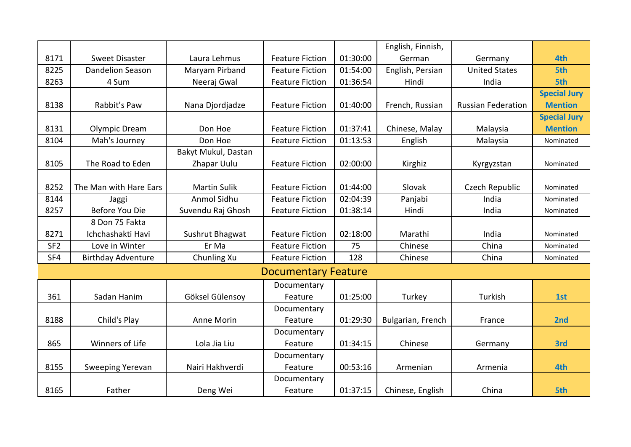|                 |                           |                     |                            |          | English, Finnish, |                           |                     |
|-----------------|---------------------------|---------------------|----------------------------|----------|-------------------|---------------------------|---------------------|
| 8171            | <b>Sweet Disaster</b>     | Laura Lehmus        | <b>Feature Fiction</b>     | 01:30:00 | German            | Germany                   | 4th                 |
| 8225            | <b>Dandelion Season</b>   | Maryam Pirband      | <b>Feature Fiction</b>     | 01:54:00 | English, Persian  | <b>United States</b>      | 5th                 |
| 8263            | 4 Sum                     | Neeraj Gwal         | <b>Feature Fiction</b>     | 01:36:54 | Hindi             | India                     | 5th                 |
|                 |                           |                     |                            |          |                   |                           | <b>Special Jury</b> |
| 8138            | Rabbit's Paw              | Nana Djordjadze     | <b>Feature Fiction</b>     | 01:40:00 | French, Russian   | <b>Russian Federation</b> | <b>Mention</b>      |
|                 |                           |                     |                            |          |                   |                           | <b>Special Jury</b> |
| 8131            | Olympic Dream             | Don Hoe             | <b>Feature Fiction</b>     | 01:37:41 | Chinese, Malay    | Malaysia                  | <b>Mention</b>      |
| 8104            | Mah's Journey             | Don Hoe             | <b>Feature Fiction</b>     | 01:13:53 | English           | Malaysia                  | Nominated           |
|                 |                           | Bakyt Mukul, Dastan |                            |          |                   |                           |                     |
| 8105            | The Road to Eden          | Zhapar Uulu         | <b>Feature Fiction</b>     | 02:00:00 | Kirghiz           | Kyrgyzstan                | Nominated           |
|                 |                           |                     |                            |          |                   |                           |                     |
| 8252            | The Man with Hare Ears    | <b>Martin Sulik</b> | <b>Feature Fiction</b>     | 01:44:00 | Slovak            | Czech Republic            | Nominated           |
| 8144            | Jaggi                     | Anmol Sidhu         | <b>Feature Fiction</b>     | 02:04:39 | Panjabi           | India                     | Nominated           |
| 8257            | <b>Before You Die</b>     | Suvendu Raj Ghosh   | <b>Feature Fiction</b>     | 01:38:14 | Hindi             | India                     | Nominated           |
|                 | 8 Don 75 Fakta            |                     |                            |          |                   |                           |                     |
| 8271            | Ichchashakti Havi         | Sushrut Bhagwat     | <b>Feature Fiction</b>     | 02:18:00 | Marathi           | India                     | Nominated           |
| SF <sub>2</sub> | Love in Winter            | Er Ma               | <b>Feature Fiction</b>     | 75       | Chinese           | China                     | Nominated           |
| SF4             | <b>Birthday Adventure</b> | Chunling Xu         | <b>Feature Fiction</b>     | 128      | Chinese           | China                     | Nominated           |
|                 |                           |                     | <b>Documentary Feature</b> |          |                   |                           |                     |
|                 |                           |                     | Documentary                |          |                   |                           |                     |
| 361             | Sadan Hanim               | Göksel Gülensoy     | Feature                    | 01:25:00 | Turkey            | Turkish                   | 1st                 |
|                 |                           |                     | Documentary                |          |                   |                           |                     |
| 8188            | Child's Play              | Anne Morin          | Feature                    | 01:29:30 | Bulgarian, French | France                    | 2nd                 |
|                 |                           |                     | Documentary                |          |                   |                           |                     |
| 865             | Winners of Life           | Lola Jia Liu        | Feature                    | 01:34:15 | Chinese           | Germany                   | 3rd                 |
|                 |                           |                     | Documentary                |          |                   |                           |                     |
| 8155            | Sweeping Yerevan          | Nairi Hakhverdi     | Feature                    | 00:53:16 | Armenian          | Armenia                   | 4th                 |
|                 |                           |                     | Documentary                |          |                   |                           |                     |
| 8165            | Father                    | Deng Wei            | Feature                    | 01:37:15 | Chinese, English  | China                     | 5th                 |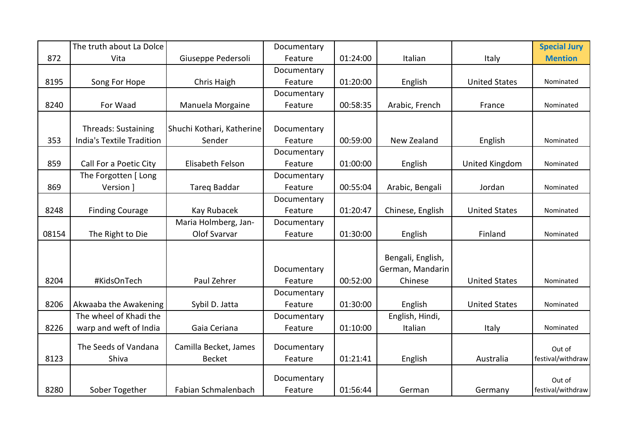|       | The truth about La Dolce   |                           | Documentary |          |                   |                      | <b>Special Jury</b> |
|-------|----------------------------|---------------------------|-------------|----------|-------------------|----------------------|---------------------|
| 872   | Vita                       | Giuseppe Pedersoli        | Feature     | 01:24:00 | Italian           | Italy                | <b>Mention</b>      |
|       |                            |                           | Documentary |          |                   |                      |                     |
| 8195  | Song For Hope              | Chris Haigh               | Feature     | 01:20:00 | English           | <b>United States</b> | Nominated           |
|       |                            |                           | Documentary |          |                   |                      |                     |
| 8240  | For Waad                   | Manuela Morgaine          | Feature     | 00:58:35 | Arabic, French    | France               | Nominated           |
|       |                            |                           |             |          |                   |                      |                     |
|       | <b>Threads: Sustaining</b> | Shuchi Kothari, Katherine | Documentary |          |                   |                      |                     |
| 353   | India's Textile Tradition  | Sender                    | Feature     | 00:59:00 | New Zealand       | English              | Nominated           |
|       |                            |                           | Documentary |          |                   |                      |                     |
| 859   | Call For a Poetic City     | Elisabeth Felson          | Feature     | 01:00:00 | English           | United Kingdom       | Nominated           |
|       | The Forgotten [ Long       |                           | Documentary |          |                   |                      |                     |
| 869   | Version 1                  | Tareq Baddar              | Feature     | 00:55:04 | Arabic, Bengali   | Jordan               | Nominated           |
|       |                            |                           | Documentary |          |                   |                      |                     |
| 8248  | <b>Finding Courage</b>     | Kay Rubacek               | Feature     | 01:20:47 | Chinese, English  | <b>United States</b> | Nominated           |
|       |                            | Maria Holmberg, Jan-      | Documentary |          |                   |                      |                     |
| 08154 | The Right to Die           | Olof Svarvar              | Feature     | 01:30:00 | English           | Finland              | Nominated           |
|       |                            |                           |             |          |                   |                      |                     |
|       |                            |                           |             |          | Bengali, English, |                      |                     |
|       |                            |                           | Documentary |          | German, Mandarin  |                      |                     |
| 8204  | #KidsOnTech                | Paul Zehrer               | Feature     | 00:52:00 | Chinese           | <b>United States</b> | Nominated           |
|       |                            |                           | Documentary |          |                   |                      |                     |
| 8206  | Akwaaba the Awakening      | Sybil D. Jatta            | Feature     | 01:30:00 | English           | <b>United States</b> | Nominated           |
|       | The wheel of Khadi the     |                           | Documentary |          | English, Hindi,   |                      |                     |
| 8226  | warp and weft of India     | Gaia Ceriana              | Feature     | 01:10:00 | Italian           | Italy                | Nominated           |
|       | The Seeds of Vandana       |                           |             |          |                   |                      |                     |
|       |                            | Camilla Becket, James     | Documentary |          |                   |                      | Out of              |
| 8123  | Shiva                      | <b>Becket</b>             | Feature     | 01:21:41 | English           | Australia            | festival/withdraw   |
|       |                            |                           | Documentary |          |                   |                      | Out of              |
| 8280  | Sober Together             | Fabian Schmalenbach       | Feature     | 01:56:44 | German            | Germany              | festival/withdraw   |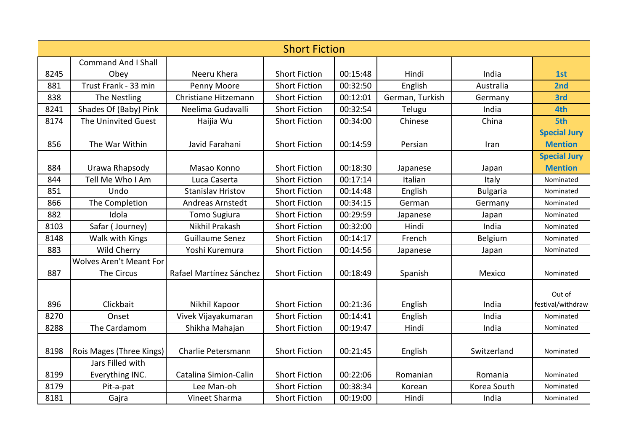|      | <b>Short Fiction</b>           |                          |                      |          |                 |                 |                     |  |  |  |
|------|--------------------------------|--------------------------|----------------------|----------|-----------------|-----------------|---------------------|--|--|--|
|      | <b>Command And I Shall</b>     |                          |                      |          |                 |                 |                     |  |  |  |
| 8245 | Obev                           | Neeru Khera              | <b>Short Fiction</b> | 00:15:48 | Hindi           | India           | 1st                 |  |  |  |
| 881  | Trust Frank - 33 min           | Penny Moore              | <b>Short Fiction</b> | 00:32:50 | English         | Australia       | 2nd                 |  |  |  |
| 838  | The Nestling                   | Christiane Hitzemann     | <b>Short Fiction</b> | 00:12:01 | German, Turkish | Germany         | 3rd                 |  |  |  |
| 8241 | Shades Of (Baby) Pink          | Neelima Gudavalli        | <b>Short Fiction</b> | 00:32:54 | Telugu          | India           | 4th                 |  |  |  |
| 8174 | The Uninvited Guest            | Haijia Wu                | <b>Short Fiction</b> | 00:34:00 | Chinese         | China           | 5th                 |  |  |  |
|      |                                |                          |                      |          |                 |                 | <b>Special Jury</b> |  |  |  |
| 856  | The War Within                 | Javid Farahani           | <b>Short Fiction</b> | 00:14:59 | Persian         | Iran            | <b>Mention</b>      |  |  |  |
|      |                                |                          |                      |          |                 |                 | <b>Special Jury</b> |  |  |  |
| 884  | Urawa Rhapsody                 | Masao Konno              | <b>Short Fiction</b> | 00:18:30 | Japanese        | Japan           | <b>Mention</b>      |  |  |  |
| 844  | Tell Me Who I Am               | Luca Caserta             | <b>Short Fiction</b> | 00:17:14 | Italian         | Italy           | Nominated           |  |  |  |
| 851  | Undo                           | <b>Stanislav Hristov</b> | <b>Short Fiction</b> | 00:14:48 | English         | <b>Bulgaria</b> | Nominated           |  |  |  |
| 866  | The Completion                 | Andreas Arnstedt         | <b>Short Fiction</b> | 00:34:15 | German          | Germany         | Nominated           |  |  |  |
| 882  | Idola                          | Tomo Sugiura             | <b>Short Fiction</b> | 00:29:59 | Japanese        | Japan           | Nominated           |  |  |  |
| 8103 | Safar (Journey)                | Nikhil Prakash           | <b>Short Fiction</b> | 00:32:00 | Hindi           | India           | Nominated           |  |  |  |
| 8148 | Walk with Kings                | <b>Guillaume Senez</b>   | <b>Short Fiction</b> | 00:14:17 | French          | Belgium         | Nominated           |  |  |  |
| 883  | Wild Cherry                    | Yoshi Kuremura           | <b>Short Fiction</b> | 00:14:56 | Japanese        | Japan           | Nominated           |  |  |  |
|      | <b>Wolves Aren't Meant For</b> |                          |                      |          |                 |                 |                     |  |  |  |
| 887  | The Circus                     | Rafael Martínez Sánchez  | <b>Short Fiction</b> | 00:18:49 | Spanish         | Mexico          | Nominated           |  |  |  |
|      |                                |                          |                      |          |                 |                 | Out of              |  |  |  |
| 896  | Clickbait                      | Nikhil Kapoor            | <b>Short Fiction</b> | 00:21:36 | English         | India           | festival/withdraw   |  |  |  |
| 8270 | Onset                          | Vivek Vijayakumaran      | <b>Short Fiction</b> | 00:14:41 | English         | India           | Nominated           |  |  |  |
| 8288 | The Cardamom                   | Shikha Mahajan           | <b>Short Fiction</b> | 00:19:47 | Hindi           | India           | Nominated           |  |  |  |
|      |                                |                          |                      |          |                 |                 |                     |  |  |  |
| 8198 | Rois Mages (Three Kings)       | Charlie Petersmann       | <b>Short Fiction</b> | 00:21:45 | English         | Switzerland     | Nominated           |  |  |  |
|      | Jars Filled with               |                          |                      |          |                 |                 |                     |  |  |  |
| 8199 | Everything INC.                | Catalina Simion-Calin    | <b>Short Fiction</b> | 00:22:06 | Romanian        | Romania         | Nominated           |  |  |  |
| 8179 | Pit-a-pat                      | Lee Man-oh               | <b>Short Fiction</b> | 00:38:34 | Korean          | Korea South     | Nominated           |  |  |  |
| 8181 | Gajra                          | Vineet Sharma            | <b>Short Fiction</b> | 00:19:00 | Hindi           | India           | Nominated           |  |  |  |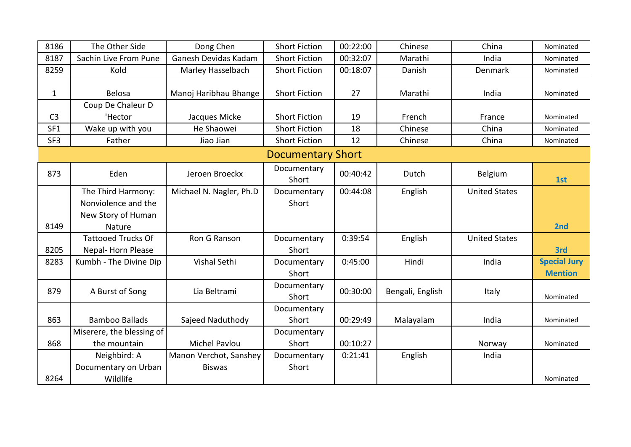| 8186            | The Other Side            | Dong Chen               | <b>Short Fiction</b>     | 00:22:00 | Chinese          | China                | Nominated           |
|-----------------|---------------------------|-------------------------|--------------------------|----------|------------------|----------------------|---------------------|
| 8187            | Sachin Live From Pune     | Ganesh Devidas Kadam    | <b>Short Fiction</b>     | 00:32:07 | Marathi          | India                | Nominated           |
| 8259            | Kold                      | Marley Hasselbach       | <b>Short Fiction</b>     | 00:18:07 | Danish           | Denmark              | Nominated           |
|                 |                           |                         |                          |          |                  |                      |                     |
| $\mathbf{1}$    | <b>Belosa</b>             | Manoj Haribhau Bhange   | <b>Short Fiction</b>     | 27       | Marathi          | India                | Nominated           |
|                 | Coup De Chaleur D         |                         |                          |          |                  |                      |                     |
| C <sub>3</sub>  | 'Hector                   | Jacques Micke           | <b>Short Fiction</b>     | 19       | French           | France               | Nominated           |
| SF1             | Wake up with you          | He Shaowei              | <b>Short Fiction</b>     | 18       | Chinese          | China                | Nominated           |
| SF <sub>3</sub> | Father                    | Jiao Jian               | <b>Short Fiction</b>     | 12       | Chinese          | China                | Nominated           |
|                 |                           |                         | <b>Documentary Short</b> |          |                  |                      |                     |
| 873             | Eden                      | Jeroen Broeckx          | Documentary<br>Short     | 00:40:42 | Dutch            | Belgium              | 1st                 |
|                 | The Third Harmony:        | Michael N. Nagler, Ph.D | Documentary              | 00:44:08 | English          | <b>United States</b> |                     |
|                 | Nonviolence and the       |                         | Short                    |          |                  |                      |                     |
|                 | New Story of Human        |                         |                          |          |                  |                      |                     |
| 8149            | Nature                    |                         |                          |          |                  |                      | 2nd                 |
|                 | <b>Tattooed Trucks Of</b> | Ron G Ranson            | Documentary              | 0:39:54  | English          | <b>United States</b> |                     |
| 8205            | Nepal-Horn Please         |                         | Short                    |          |                  |                      | 3rd                 |
| 8283            | Kumbh - The Divine Dip    | Vishal Sethi            | Documentary              | 0:45:00  | Hindi            | India                | <b>Special Jury</b> |
|                 |                           |                         | Short                    |          |                  |                      | <b>Mention</b>      |
| 879             | A Burst of Song           | Lia Beltrami            | Documentary<br>Short     | 00:30:00 | Bengali, English | Italy                | Nominated           |
|                 |                           |                         | Documentary              |          |                  |                      |                     |
| 863             | <b>Bamboo Ballads</b>     | Sajeed Naduthody        | Short                    | 00:29:49 | Malayalam        | India                | Nominated           |
|                 | Miserere, the blessing of |                         | Documentary              |          |                  |                      |                     |
| 868             | the mountain              | <b>Michel Pavlou</b>    | Short                    | 00:10:27 |                  | Norway               | Nominated           |
|                 | Neighbird: A              | Manon Verchot, Sanshey  | Documentary              | 0:21:41  | English          | India                |                     |
|                 | Documentary on Urban      | <b>Biswas</b>           | Short                    |          |                  |                      |                     |
| 8264            | Wildlife                  |                         |                          |          |                  |                      | Nominated           |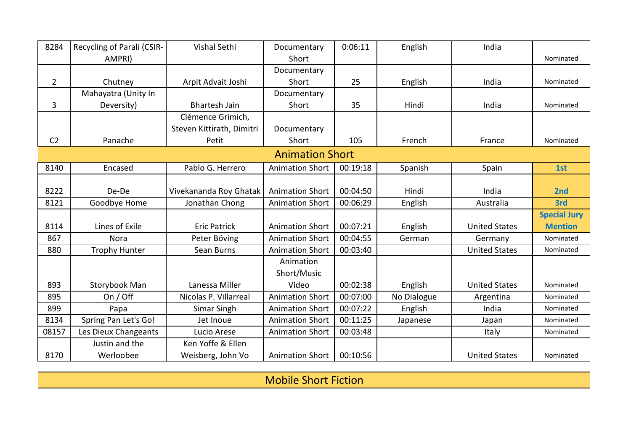| 8284           | Recycling of Parali (CSIR- | <b>Vishal Sethi</b>       | Documentary            | 0:06:11  | English     | India                |                     |
|----------------|----------------------------|---------------------------|------------------------|----------|-------------|----------------------|---------------------|
|                | AMPRI)                     |                           | Short                  |          |             |                      | Nominated           |
|                |                            |                           | Documentary            |          |             |                      |                     |
| $\overline{2}$ | Chutney                    | Arpit Advait Joshi        | Short                  | 25       | English     | India                | Nominated           |
|                | Mahayatra (Unity In        |                           | Documentary            |          |             |                      |                     |
| 3              | Deversity)                 | <b>Bhartesh Jain</b>      | Short                  | 35       | Hindi       | India                | Nominated           |
|                |                            | Clémence Grimich,         |                        |          |             |                      |                     |
|                |                            | Steven Kittirath, Dimitri | Documentary            |          |             |                      |                     |
| C <sub>2</sub> | Panache                    | Petit                     | Short                  | 105      | French      | France               | Nominated           |
|                |                            |                           | <b>Animation Short</b> |          |             |                      |                     |
| 8140           | Encased                    | Pablo G. Herrero          | <b>Animation Short</b> | 00:19:18 | Spanish     | Spain                | 1st                 |
|                |                            |                           |                        |          |             |                      |                     |
| 8222           | De-De                      | Vivekananda Roy Ghatak    | <b>Animation Short</b> | 00:04:50 | Hindi       | India                | 2 <sub>nd</sub>     |
| 8121           | Goodbye Home               | Jonathan Chong            | <b>Animation Short</b> | 00:06:29 | English     | Australia            | 3rd                 |
|                |                            |                           |                        |          |             |                      | <b>Special Jury</b> |
| 8114           | Lines of Exile             | <b>Eric Patrick</b>       | <b>Animation Short</b> | 00:07:21 | English     | <b>United States</b> | <b>Mention</b>      |
| 867            | <b>Nora</b>                | Peter Böving              | <b>Animation Short</b> | 00:04:55 | German      | Germany              | Nominated           |
| 880            | <b>Trophy Hunter</b>       | Sean Burns                | <b>Animation Short</b> | 00:03:40 |             | <b>United States</b> | Nominated           |
|                |                            |                           | Animation              |          |             |                      |                     |
|                |                            |                           | Short/Music            |          |             |                      |                     |
| 893            | Storybook Man              | Lanessa Miller            | Video                  | 00:02:38 | English     | <b>United States</b> | Nominated           |
| 895            | On / Off                   | Nicolas P. Villarreal     | <b>Animation Short</b> | 00:07:00 | No Dialogue | Argentina            | Nominated           |
| 899            | Papa                       | Simar Singh               | <b>Animation Short</b> | 00:07:22 | English     | India                | Nominated           |
| 8134           | Spring Pan Let's Go!       | Jet Inoue                 | <b>Animation Short</b> | 00:11:25 | Japanese    | Japan                | Nominated           |
| 08157          | Les Dieux Changeants       | Lucio Arese               | <b>Animation Short</b> | 00:03:48 |             | Italy                | Nominated           |
|                | Justin and the             | Ken Yoffe & Ellen         |                        |          |             |                      |                     |
| 8170           | Werloobee                  | Weisberg, John Vo         | <b>Animation Short</b> | 00:10:56 |             | <b>United States</b> | Nominated           |

Mobile Short Fiction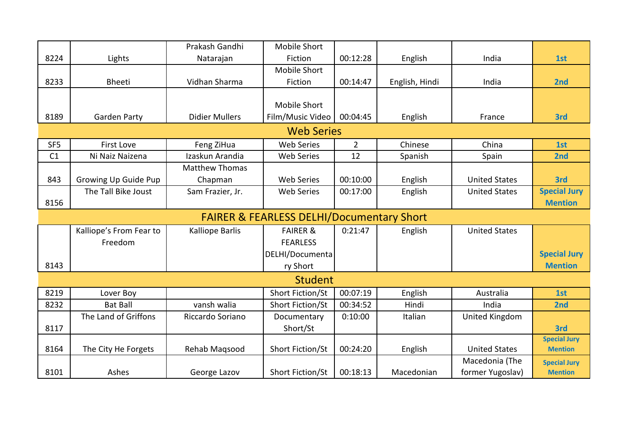|                 |                         | Prakash Gandhi        | <b>Mobile Short</b>                                  |                |                |                      |                     |
|-----------------|-------------------------|-----------------------|------------------------------------------------------|----------------|----------------|----------------------|---------------------|
| 8224            | Lights                  | Natarajan             | Fiction                                              | 00:12:28       | English        | India                | 1st                 |
|                 |                         |                       | <b>Mobile Short</b>                                  |                |                |                      |                     |
| 8233            | <b>Bheeti</b>           | Vidhan Sharma         | Fiction                                              | 00:14:47       | English, Hindi | India                | 2nd                 |
|                 |                         |                       |                                                      |                |                |                      |                     |
|                 |                         |                       | <b>Mobile Short</b>                                  |                |                |                      |                     |
| 8189            | Garden Party            | <b>Didier Mullers</b> | Film/Music Video                                     | 00:04:45       | English        | France               | 3rd                 |
|                 |                         |                       | <b>Web Series</b>                                    |                |                |                      |                     |
| SF <sub>5</sub> | <b>First Love</b>       | Feng ZiHua            | <b>Web Series</b>                                    | $\overline{2}$ | Chinese        | China                | 1st                 |
| C1              | Ni Naiz Naizena         | Izaskun Arandia       | <b>Web Series</b>                                    | 12             | Spanish        | Spain                | 2nd                 |
|                 |                         | <b>Matthew Thomas</b> |                                                      |                |                |                      |                     |
| 843             | Growing Up Guide Pup    | Chapman               | <b>Web Series</b>                                    | 00:10:00       | English        | <b>United States</b> | 3rd                 |
|                 | The Tall Bike Joust     | Sam Frazier, Jr.      | <b>Web Series</b>                                    | 00:17:00       | English        | <b>United States</b> | <b>Special Jury</b> |
| 8156            |                         |                       |                                                      |                |                |                      | <b>Mention</b>      |
|                 |                         |                       | <b>FAIRER &amp; FEARLESS DELHI/Documentary Short</b> |                |                |                      |                     |
|                 | Kalliope's From Fear to | Kalliope Barlis       | <b>FAIRER &amp;</b>                                  | 0:21:47        | English        | <b>United States</b> |                     |
|                 | Freedom                 |                       | <b>FEARLESS</b>                                      |                |                |                      |                     |
|                 |                         |                       | DELHI/Documenta                                      |                |                |                      | <b>Special Jury</b> |
| 8143            |                         |                       | ry Short                                             |                |                |                      | <b>Mention</b>      |
|                 |                         |                       | <b>Student</b>                                       |                |                |                      |                     |
| 8219            | Lover Boy               |                       | Short Fiction/St                                     | 00:07:19       | English        | Australia            | 1st                 |
| 8232            | <b>Bat Ball</b>         | vansh walia           | Short Fiction/St                                     | 00:34:52       | Hindi          | India                | 2nd                 |
|                 | The Land of Griffons    | Riccardo Soriano      | Documentary                                          | 0:10:00        | Italian        | United Kingdom       |                     |
| 8117            |                         |                       | Short/St                                             |                |                |                      | 3rd                 |
|                 |                         |                       |                                                      |                |                |                      | <b>Special Jury</b> |
| 8164            | The City He Forgets     | Rehab Magsood         | Short Fiction/St                                     | 00:24:20       | English        | <b>United States</b> | <b>Mention</b>      |
|                 |                         |                       |                                                      |                |                | Macedonia (The       | <b>Special Jury</b> |
| 8101            | Ashes                   | George Lazov          | Short Fiction/St                                     | 00:18:13       | Macedonian     | former Yugoslav)     | <b>Mention</b>      |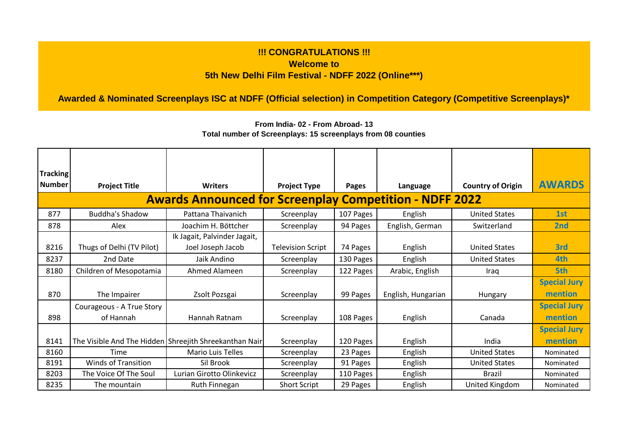## **!!! CONGRATULATIONS !!! Welcome to 5th New Delhi Film Festival - NDFF 2022 (Online\*\*\*)**

**Awarded & Nominated Screenplays ISC at NDFF (Official selection) in Competition Category (Competitive Screenplays)\*** 

| Tracking      |                            |                                                                |                          |           |                    |                          |                     |
|---------------|----------------------------|----------------------------------------------------------------|--------------------------|-----------|--------------------|--------------------------|---------------------|
| <b>Number</b> | <b>Project Title</b>       | <b>Writers</b>                                                 | <b>Project Type</b>      | Pages     | Language           | <b>Country of Origin</b> | <b>AWARDS</b>       |
|               |                            | <b>Awards Announced for Screenplay Competition - NDFF 2022</b> |                          |           |                    |                          |                     |
| 877           | <b>Buddha's Shadow</b>     | Pattana Thaivanich                                             | Screenplay               | 107 Pages | English            | <b>United States</b>     | 1st                 |
| 878           | Alex                       | Joachim H. Böttcher                                            | Screenplay               | 94 Pages  | English, German    | Switzerland              | 2nd                 |
|               |                            | Ik Jagait, Palvinder Jagait,                                   |                          |           |                    |                          |                     |
| 8216          | Thugs of Delhi (TV Pilot)  | Joel Joseph Jacob                                              | <b>Television Script</b> | 74 Pages  | English            | <b>United States</b>     | 3rd                 |
| 8237          | 2nd Date                   | Jaik Andino                                                    | Screenplay               | 130 Pages | English            | <b>United States</b>     | 4th                 |
| 8180          | Children of Mesopotamia    | Ahmed Alameen                                                  | Screenplay               | 122 Pages | Arabic, English    | Iraq                     | 5th                 |
|               |                            |                                                                |                          |           |                    |                          | <b>Special Jury</b> |
| 870           | The Impairer               | Zsolt Pozsgai                                                  | Screenplay               | 99 Pages  | English, Hungarian | Hungary                  | mention             |
|               | Courageous - A True Story  |                                                                |                          |           |                    |                          | <b>Special Jury</b> |
| 898           | of Hannah                  | Hannah Ratnam                                                  | Screenplay               | 108 Pages | English            | Canada                   | mention             |
|               |                            |                                                                |                          |           |                    |                          | <b>Special Jury</b> |
| 8141          |                            | The Visible And The Hidden Shreejith Shreekanthan Nair         | Screenplay               | 120 Pages | English            | India                    | mention             |
| 8160          | Time                       | <b>Mario Luis Telles</b>                                       | Screenplay               | 23 Pages  | English            | <b>United States</b>     | Nominated           |
| 8191          | <b>Winds of Transition</b> | Sil Brook                                                      | Screenplay               | 91 Pages  | English            | <b>United States</b>     | Nominated           |
| 8203          | The Voice Of The Soul      | Lurian Girotto Olinkevicz                                      | Screenplay               | 110 Pages | English            | <b>Brazil</b>            | Nominated           |
| 8235          | The mountain               | Ruth Finnegan                                                  | <b>Short Script</b>      | 29 Pages  | English            | <b>United Kingdom</b>    | Nominated           |

**From India- 02 - From Abroad- 13 Total number of Screenplays: 15 screenplays from 08 counties**